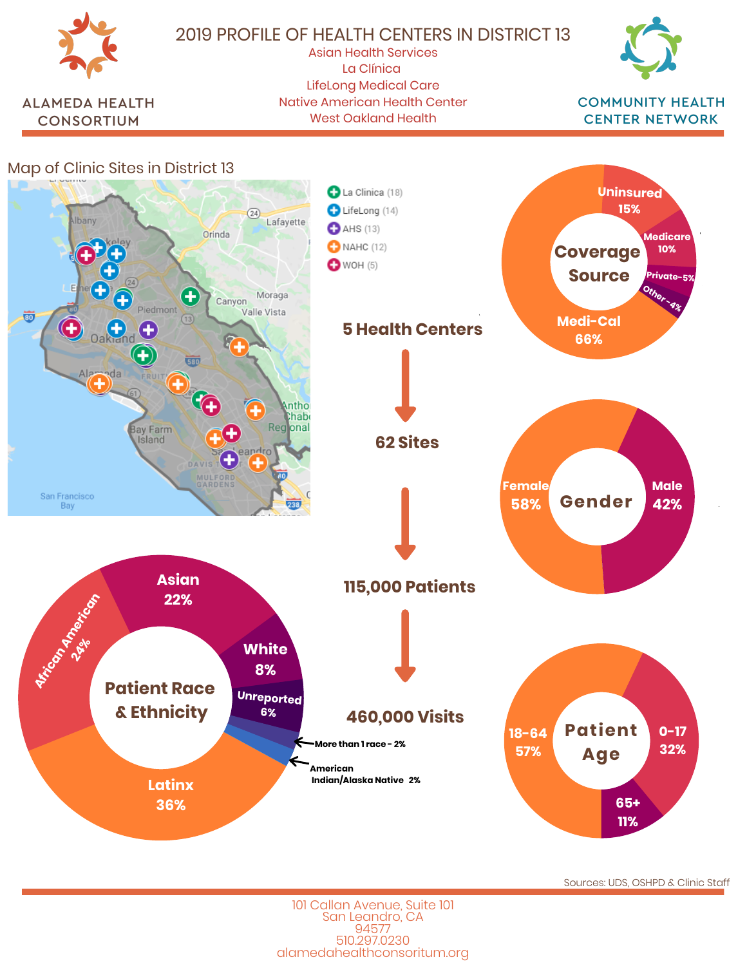

Sources: UDS, OSHPD & Clinic Staff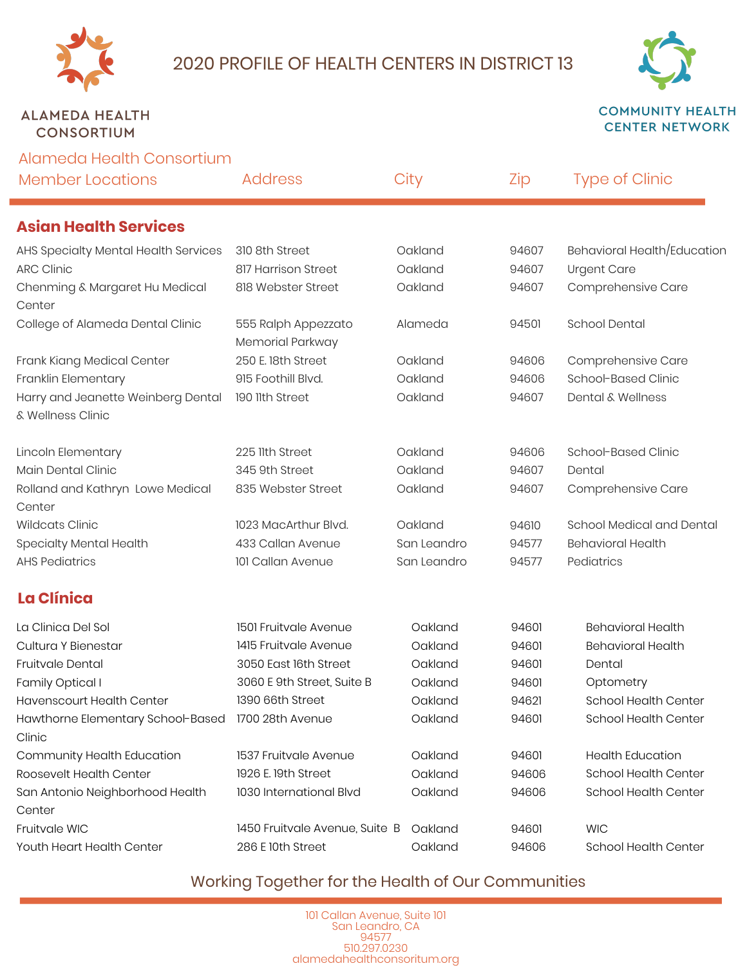

### ALAMEDA HEALTH

**COMMUNITY HEALTH R NETWORK** 

| ALAMEDA HEALIH<br><b>CONSORTIUM</b>                     |                                         |             |          | <b>CENTER NETWORK</b>        |
|---------------------------------------------------------|-----------------------------------------|-------------|----------|------------------------------|
| Alameda Health Consortium                               |                                         |             |          |                              |
| <b>Member Locations</b>                                 | <b>Address</b>                          | City        | Zip      | <b>Type of Clinic</b>        |
| <b>Asian Health Services</b>                            |                                         |             |          |                              |
| AHS Specialty Mental Health Services                    | 310 8th Street                          | Oakland     | 94607    | Behavioral Health/Education  |
| <b>ARC Clinic</b>                                       | 817 Harrison Street                     | Oakland     | 94607    | <b>Urgent Care</b>           |
| Chenming & Margaret Hu Medical<br>Center                | 818 Webster Street                      | Oakland     | 94607    | Comprehensive Care           |
| College of Alameda Dental Clinic                        | 555 Ralph Appezzato<br>Memorial Parkway | Alameda     | 94501    | <b>School Dental</b>         |
| Frank Kiang Medical Center                              | 250 E. 18th Street                      | Oakland     | 94606    | Comprehensive Care           |
| Franklin Elementary                                     | 915 Foothill Blvd.                      | Oakland     | 94606    | School-Based Clinic          |
| Harry and Jeanette Weinberg Dental<br>& Wellness Clinic | 190 11th Street                         | Oakland     | 94607    | <b>Dental &amp; Wellness</b> |
| Lincoln Elementary                                      | 225 llth Street                         | Oakland     | 94606    | School-Based Clinic          |
| Main Dental Clinic                                      | 345 9th Street                          | Oakland     | 94607    | Dental                       |
| Rolland and Kathryn Lowe Medical<br>Center              | 835 Webster Street                      | Oakland     | 94607    | Comprehensive Care           |
| <b>Wildcats Clinic</b>                                  | 1023 MacArthur Blvd.                    | Oakland     | 94610    | School Medical and Dental    |
| Specialty Mental Health                                 | 433 Callan Avenue                       | San Leandro | 94577    | <b>Behavioral Health</b>     |
| <b>AHS Pediatrics</b>                                   | 101 Callan Avenue                       | San Leandro | 94577    | Pediatrics                   |
| La Clínica                                              |                                         |             |          |                              |
| La Clinica Del Sol                                      | 1501 Fruitvale Avenue                   | Oakland     | 94601    | <b>Behavioral Health</b>     |
| Cultura Y Bienestar                                     | 1415 Fruitvale Avenue                   | Oakland     | 94601    | <b>Behavioral Health</b>     |
| Fruitvale Dental                                        | 3050 East 16th Street                   | Oakland     | 94601    | Dental                       |
| Family Optical I                                        | 3060 E 9th Street, Suite B              | Oakland     | 94601    | Optometry                    |
| Havenscourt Health Center                               | 1390 66th Street                        | Oakland     | 94621    | School Health Center         |
| Hawthorne Flementary School-Based - 1700 28th Avenue    |                                         | Oakland     | $Q4$ 601 | School Health Center         |

| Hawthorne Elementary School-Based 1700 28th Avenue |                                | Oakland | 94601 | School Health Center    |
|----------------------------------------------------|--------------------------------|---------|-------|-------------------------|
| Clinic                                             |                                |         |       |                         |
| Community Health Education                         | 1537 Fruitvale Avenue          | Oakland | 94601 | <b>Health Education</b> |
| Roosevelt Health Center                            | 1926 E. 19th Street            | Oakland | 94606 | School Health Center    |
| San Antonio Neighborhood Health                    | 1030 International Blyd        | Oakland | 94606 | School Health Center    |
| Center                                             |                                |         |       |                         |
| Fruitvale WIC                                      | 1450 Fruitvale Avenue, Suite B | Oakland | 94601 | <b>WIC</b>              |
| Youth Heart Health Center                          | 286 E 10th Street              | Oakland | 94606 | School Health Center    |
|                                                    |                                |         |       |                         |

### Working Together for the Health of Our Communities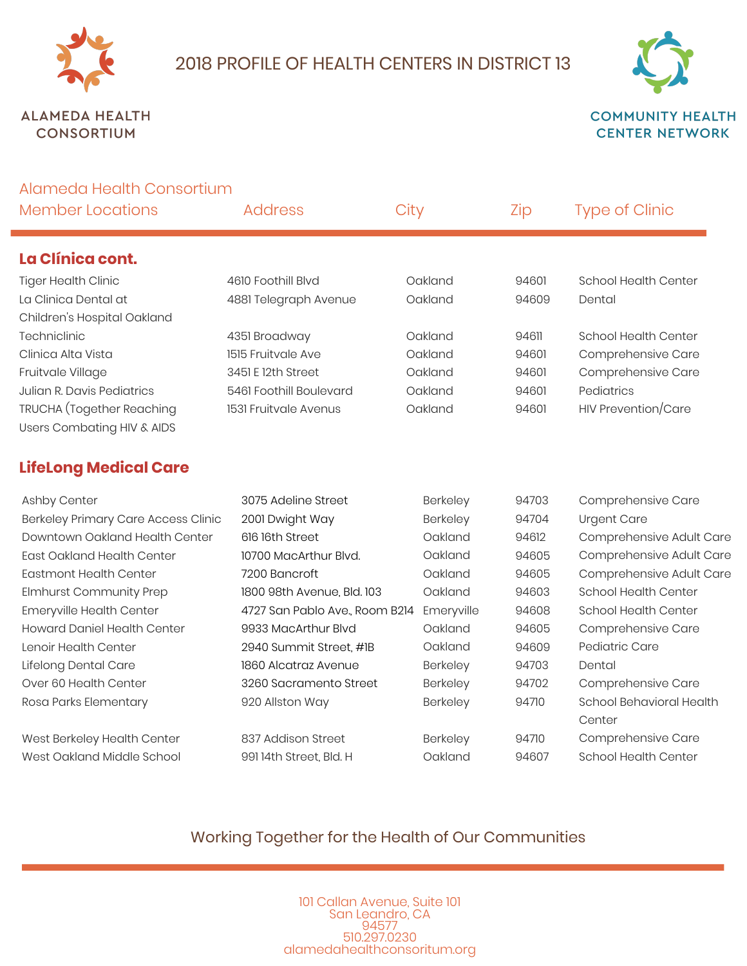

#### **ALAMEDA HEALTH CONSORTIUM**

## **COMMUNITY HEALTH CENTER NETWORK**

| Alameda Health Consortium                               |                                |            |       |                                    |
|---------------------------------------------------------|--------------------------------|------------|-------|------------------------------------|
| <b>Member Locations</b>                                 | <b>Address</b>                 | City       | Zip   | <b>Type of Clinic</b>              |
| La Clínica cont.                                        |                                |            |       |                                    |
| <b>Tiger Health Clinic</b>                              | 4610 Foothill Blvd             | Oakland    | 94601 | School Health Center               |
| La Clinica Dental at                                    | 4881 Telegraph Avenue          | Oakland    | 94609 | Dental                             |
| Children's Hospital Oakland<br>Techniclinic             | 4351 Broadway                  | Oakland    | 94611 | School Health Center               |
| Clinica Alta Vista                                      | 1515 Fruitvale Ave             | Oakland    | 94601 | Comprehensive Care                 |
| Fruitvale Village                                       | 3451 E 12th Street             | Oakland    | 94601 | Comprehensive Care                 |
| Julian R. Davis Pediatrics                              | 5461 Foothill Boulevard        | Oakland    | 94601 | Pediatrics                         |
| TRUCHA (Together Reaching<br>Users Combating HIV & AIDS | 1531 Fruitvale Avenus          | Oakland    | 94601 | <b>HIV Prevention/Care</b>         |
| <b>LifeLong Medical Care</b>                            |                                |            |       |                                    |
| Ashby Center                                            | 3075 Adeline Street            | Berkeley   | 94703 | Comprehensive Care                 |
| Berkeley Primary Care Access Clinic                     | 2001 Dwight Way                | Berkeley   | 94704 | Urgent Care                        |
| Downtown Oakland Health Center                          | 616 16th Street                | Oakland    | 94612 | Comprehensive Adult Care           |
| <b>East Oakland Health Center</b>                       | 10700 MacArthur Blvd.          | Oakland    | 94605 | Comprehensive Adult Care           |
| <b>Eastmont Health Center</b>                           | 7200 Bancroft                  | Oakland    | 94605 | Comprehensive Adult Care           |
| <b>Elmhurst Community Prep</b>                          | 1800 98th Avenue, Bld. 103     | Oakland    | 94603 | <b>School Health Center</b>        |
| Emeryville Health Center                                | 4727 San Pablo Ave., Room B214 | Emeryville | 94608 | School Health Center               |
| <b>Howard Daniel Health Center</b>                      | 9933 MacArthur Blvd            | Oakland    | 94605 | Comprehensive Care                 |
| Lenoir Health Center                                    | 2940 Summit Street, #1B        | Oakland    | 94609 | Pediatric Care                     |
| Lifelong Dental Care                                    | 1860 Alcatraz Avenue           | Berkeley   | 94703 | Dental                             |
| Over 60 Health Center                                   | 3260 Sacramento Street         | Berkeley   | 94702 | Comprehensive Care                 |
| Rosa Parks Elementary                                   | 920 Allston Way                | Berkeley   | 94710 | School Behavioral Health<br>Center |
| West Berkeley Health Center                             | 837 Addison Street             | Berkeley   | 94710 | Comprehensive Care                 |
| West Oakland Middle School                              | 991 14th Street, Bld. H        | Oakland    | 94607 | School Health Center               |

### Working Together for the Health of Our Communities